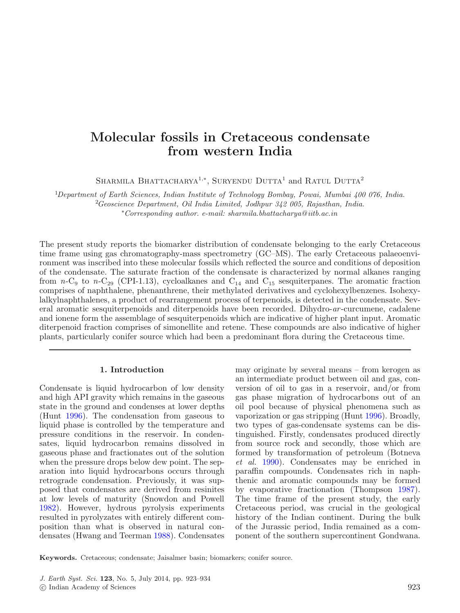# **Molecular fossils in Cretaceous condensate from western India**

SHARMILA BHATTACHARYA<sup>1,\*</sup>, SURYENDU DUTTA<sup>1</sup> and RATUL DUTTA<sup>2</sup>

1 *Department of Earth Sciences, Indian Institute of Technology Bombay, Powai, Mumbai 400 076, India.*

2 *Geoscience Department, Oil India Limited, Jodhpur 342 005, Rajasthan, India.*

∗ *Corresponding author*. *e-mail: sharmila.bhattacharya@ iitb.ac.in*

The present study reports the biomarker distribution of condensate belonging to the early Cretaceous time frame using gas chromatography-mass spectrometry (GC–MS). The early Cretaceous palaeoenvironment was inscribed into these molecular fossils which reflected the source and conditions of deposition of the condensate. The saturate fraction of the condensate is characterized by normal alkanes ranging from  $n$ -C<sub>9</sub> to  $n$ -C<sub>29</sub> (CPI-1.13), cycloalkanes and C<sub>14</sub> and C<sub>15</sub> sesquiterpanes. The aromatic fraction comprises of naphthalene, phenanthrene, their methylated derivatives and cyclohexylbenzenes. Isohexylalkylnaphthalenes, a product of rearrangement process of terpenoids, is detected in the condensate. Several aromatic sesquiterpenoids and diterpenoids have been recorded. Dihydro-*ar* -curcumene, cadalene and ionene form the assemblage of sesquiterpenoids which are indicative of higher plant input. Aromatic diterpenoid fraction comprises of simonellite and retene. These compounds are also indicative of higher plants, particularly conifer source which had been a predominant flora during the Cretaceous time.

#### **1. Introduction**

Condensate is liquid hydrocarbon of low density and high API gravity which remains in the gaseous state in the ground and condenses at lower depths (Hunt [1996\)](#page-10-0). The condensation from gaseous to liquid phase is controlled by the temperature and pressure conditions in the reservoir. In condensates, liquid hydrocarbon remains dissolved in gaseous phase and fractionates out of the solution when the pressure drops below dew point. The separation into liquid hydrocarbons occurs through retrograde condensation. Previously, it was supposed that condensates are derived from resinites at low levels of maturity (Snowdon and Powell [1982\)](#page-10-1). However, hydrous pyrolysis experiments resulted in pyrolyzates with entirely different composition than what is observed in natural condensates (Hwang and Teerman [1988\)](#page-10-2). Condensates

may originate by several means – from kerogen as an intermediate product between oil and gas, conversion of oil to gas in a reservoir, and/or from gas phase migration of hydrocarbons out of an oil pool because of physical phenomena such as vaporization or gas stripping (Hunt [1996\)](#page-10-0). Broadly, two types of gas-condensate systems can be distinguished. Firstly, condensates produced directly from source rock and secondly, those which are formed by transformation of petroleum (Botneva *et al.* [1990\)](#page-10-3). Condensates may be enriched in paraffin compounds. Condensates rich in naphthenic and aromatic compounds may be formed by evaporative fractionation (Thompson [1987\)](#page-10-4). The time frame of the present study, the early Cretaceous period, was crucial in the geological history of the Indian continent. During the bulk of the Jurassic period, India remained as a component of the southern supercontinent Gondwana.

**Keywords.** Cretaceous; condensate; Jaisalmer basin; biomarkers; conifer source.

*J. Earth Syst. Sci.* **123**, No. 5, July 2014, pp. 923–934

<sup>-</sup>c Indian Academy of Sciences 923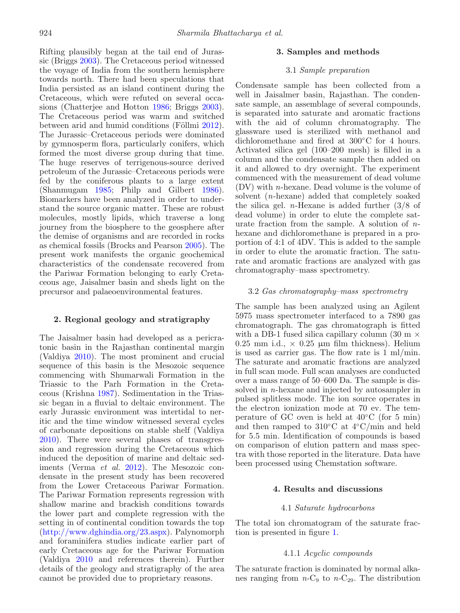Rifting plausibly began at the tail end of Jurassic (Briggs [2003\)](#page-10-5). The Cretaceous period witnessed the voyage of India from the southern hemisphere towards north. There had been speculations that India persisted as an island continent during the Cretaceous, which were refuted on several occasions (Chatterjee and Hotton [1986;](#page-10-6) Briggs [2003\)](#page-10-5). The Cretaceous period was warm and switched between arid and humid conditions (Föllmi [2012\)](#page-10-7). The Jurassic–Cretaceous periods were dominated by gymnosperm flora, particularly conifers, which formed the most diverse group during that time. The huge reserves of terrigenous-source derived petroleum of the Jurassic–Cretaceous periods were fed by the coniferous plants to a large extent (Shanmugam [1985;](#page-10-8) Philp and Gilbert [1986\)](#page-10-9). Biomarkers have been analyzed in order to understand the source organic matter. These are robust molecules, mostly lipids, which traverse a long journey from the biosphere to the geosphere after the demise of organisms and are recorded in rocks as chemical fossils (Brocks and Pearson [2005\)](#page-10-10). The present work manifests the organic geochemical characteristics of the condensate recovered from the Pariwar Formation belonging to early Cretaceous age, Jaisalmer basin and sheds light on the precursor and palaeoenvironmental features.

## **2. Regional geology and stratigraphy**

The Jaisalmer basin had developed as a pericratonic basin in the Rajasthan continental margin (Valdiya [2010\)](#page-11-0). The most prominent and crucial sequence of this basin is the Mesozoic sequence commencing with Shumarwali Formation in the Triassic to the Parh Formation in the Cretaceous (Krishna [1987\)](#page-10-11). Sedimentation in the Triassic began in a fluvial to deltaic environment. The early Jurassic environment was intertidal to neritic and the time window witnessed several cycles of carbonate depositions on stable shelf (Valdiya [2010\)](#page-11-0). There were several phases of transgression and regression during the Cretaceous which induced the deposition of marine and deltaic sediments (Verma *et al.* [2012\)](#page-11-1). The Mesozoic condensate in the present study has been recovered from the Lower Cretaceous Pariwar Formation. The Pariwar Formation represents regression with shallow marine and brackish conditions towards the lower part and complete regression with the setting in of continental condition towards the top [\(http://www.dghindia.org/23.aspx\)](http://www.dghindia.org/23.aspx). Palynomorph and foraminifera studies indicate earlier part of early Cretaceous age for the Pariwar Formation (Valdiya [2010](#page-11-0) and references therein). Further details of the geology and stratigraphy of the area cannot be provided due to proprietary reasons.

# **3. Samples and methods**

## 3.1 *Sample preparation*

Condensate sample has been collected from a well in Jaisalmer basin, Rajasthan. The condensate sample, an assemblage of several compounds, is separated into saturate and aromatic fractions with the aid of column chromatography. The glassware used is sterilized with methanol and dichloromethane and fired at 300◦C for 4 hours. Activated silica gel (100–200 mesh) is filled in a column and the condensate sample then added on it and allowed to dry overnight. The experiment commenced with the measurement of dead volume (DV) with *n*-hexane. Dead volume is the volume of solvent (*n*-hexane) added that completely soaked the silica gel. *n*-Hexane is added further (3/8 of dead volume) in order to elute the complete saturate fraction from the sample. A solution of *n*hexane and dichloromethane is prepared in a proportion of 4:1 of 4DV. This is added to the sample in order to elute the aromatic fraction. The saturate and aromatic fractions are analyzed with gas chromatography–mass spectrometry.

#### 3.2 *Gas chromatography–mass spectrometry*

The sample has been analyzed using an Agilent 5975 mass spectrometer interfaced to a 7890 gas chromatograph. The gas chromatograph is fitted with a DB-1 fused silica capillary column (30 m *×* 0.25 mm i.d.,  $\times$  0.25 µm film thickness). Helium is used as carrier gas. The flow rate is 1 ml/min. The saturate and aromatic fractions are analyzed in full scan mode. Full scan analyses are conducted over a mass range of 50–600 Da. The sample is dissolved in *n*-hexane and injected by autosampler in pulsed splitless mode. The ion source operates in the electron ionization mode at 70 ev. The temperature of GC oven is held at 40◦C (for 5 min) and then ramped to 310 $°C$  at 4 $°C/min$  and held for 5.5 min. Identification of compounds is based on comparison of elution pattern and mass spectra with those reported in the literature. Data have been processed using Chemstation software.

## **4. Results and discussions**

## 4.1 *Saturate hydrocarbons*

The total ion chromatogram of the saturate fraction is presented in figure [1.](#page-2-0)

#### 4.1.1 *Acyclic compounds*

The saturate fraction is dominated by normal alkanes ranging from  $n-C_9$  to  $n-C_{29}$ . The distribution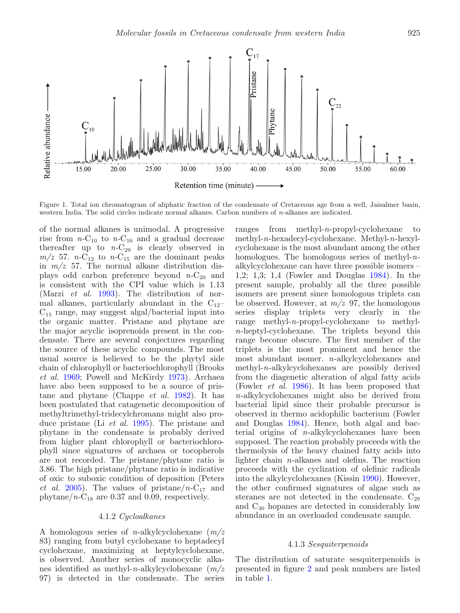<span id="page-2-0"></span>

Figure 1. Total ion chromatogram of aliphatic fraction of the condensate of Cretaceous age from a well, Jaisalmer basin, western India. The solid circles indicate normal alkanes. Carbon numbers of *n*-alkanes are indicated.

of the normal alkanes is unimodal. A progressive rise from  $n-C_{10}$  to  $n-C_{16}$  and a gradual decrease thereafter up to  $n-C_{29}$  is clearly observed in  $m/z$  57. *n*-C<sub>12</sub> to *n*-C<sub>15</sub> are the dominant peaks in *m/z* 57. The normal alkane distribution displays odd carbon preference beyond  $n-C_{20}$  and is consistent with the CPI value which is 1.13 (Marzi *et al.* [1993\)](#page-10-12). The distribution of normal alkanes, particularly abundant in the  $C_{12}$  $C_{15}$  range, may suggest algal/bacterial input into the organic matter. Pristane and phytane are the major acyclic isoprenoids present in the condensate. There are several conjectures regarding the source of these acyclic compounds. The most usual source is believed to be the phytyl side chain of chlorophyll or bacteriochlorophyll (Brooks *et al.* [1969;](#page-10-13) Powell and McKirdy [1973\)](#page-10-14). Archaea have also been supposed to be a source of pristane and phytane (Chappe *et al.* [1982\)](#page-10-15). It has been postulated that catagenetic decomposition of methyltrimethyl-tridecylchromans might also produce pristane (Li *et al.* [1995\)](#page-10-16). The pristane and phytane in the condensate is probably derived from higher plant chlorophyll or bacteriochlorophyll since signatures of archaea or tocopherols are not recorded. The pristane/phytane ratio is 3.86. The high pristane/phytane ratio is indicative of oxic to suboxic condition of deposition (Peters *et al.* [2005\)](#page-10-17). The values of pristane/*n*-C<sub>17</sub> and phytane/ $n$ -C<sub>18</sub> are 0.37 and 0.09, respectively.

## 4.1.2 *Cycloalkanes*

A homologous series of *n*-alkylcyclohexane (*m/z* 83) ranging from butyl cyclohexane to heptadecyl cyclohexane, maximizing at heptylcyclohexane, is observed. Another series of monocyclic alkanes identified as methyl-*n*-alkylcyclohexane (*m/z* 97) is detected in the condensate. The series

ranges from methyl-*n*-propyl-cyclohexane to methyl-*n*-hexadecyl-cyclohexane. Methyl-*n*-hexylcyclohexane is the most abundant among the other homologues. The homologous series of methyl-*n*alkylcyclohexane can have three possible isomers – 1,2; 1,3; 1,4 (Fowler and Douglas [1984\)](#page-10-18). In the present sample, probably all the three possible isomers are present since homologous triplets can be observed. However, at *m/z* 97, the homologous series display triplets very clearly in the range methyl-*n*-propyl-cyclohexane to methyl*n*-heptyl-cyclohexane. The triplets beyond this range become obscure. The first member of the triplets is the most prominent and hence the most abundant isomer. *n*-alkylcyclohexanes and methyl-*n*-alkylcyclohexanes are possibly derived from the diagenetic alteration of algal fatty acids (Fowler *et al.* [1986\)](#page-10-19). It has been proposed that *n*-alkylcyclohexanes might also be derived from bacterial lipid since their probable precursor is observed in thermo acidophilic bacterium (Fowler and Douglas [1984\)](#page-10-18). Hence, both algal and bacterial origins of *n*-alkylcyclohexanes have been supposed. The reaction probably proceeds with the thermolysis of the heavy chained fatty acids into lighter chain *n*-alkanes and olefins. The reaction proceeds with the cyclization of olefinic radicals into the alkylcyclohexanes (Kissin [1990\)](#page-10-20). However, the other confirmed signatures of algae such as steranes are not detected in the condensate.  $C_{29}$ and  $C_{30}$  hopanes are detected in considerably low abundance in an overloaded condensate sample.

## 4.1.3 *Sesquiterpenoids*

The distribution of saturate sesquiterpenoids is presented in figure [2](#page-3-0) and peak numbers are listed in table [1.](#page-3-1)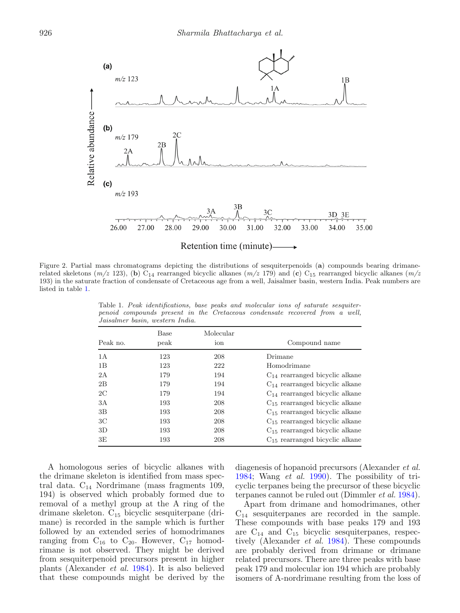<span id="page-3-0"></span>

<span id="page-3-1"></span>Figure 2. Partial mass chromatograms depicting the distributions of sesquiterpenoids (**a**) compounds bearing drimanerelated skeletons  $(m/z\ 123)$ , (**b**)  $C_{14}$  rearranged bicyclic alkanes  $(m/z\ 179)$  and (**c**)  $C_{15}$  rearranged bicyclic alkanes  $(m/z\ 179)$ 193) in the saturate fraction of condensate of Cretaceous age from a well, Jaisalmer basin, western India. Peak numbers are listed in table [1.](#page-3-1)

| Peak no.       | <b>Base</b><br>peak | Molecular<br>ion | Compound name                       |
|----------------|---------------------|------------------|-------------------------------------|
| 1 A            | 123                 | 208              | Drimane                             |
| 1B             | 123                 | 222              | Homodrimane                         |
| 2A             | 179                 | 194              | $C_{14}$ rearranged bicyclic alkane |
| 2B             | 179                 | 194              | $C_{14}$ rearranged bicyclic alkane |
| 2C             | 179                 | 194              | $C_{14}$ rearranged bicyclic alkane |
| 3A             | 193                 | 208              | $C_{15}$ rearranged bicyclic alkane |
| 3B             | 193                 | 208              | $C_{15}$ rearranged bicyclic alkane |
| 3 <sup>C</sup> | 193                 | 208              | $C_{15}$ rearranged bicyclic alkane |
| 3D             | 193                 | 208              | $C_{15}$ rearranged bicyclic alkane |
| 3E             | 193                 | 208              | $C_{15}$ rearranged bicyclic alkane |

Table 1. *Peak identifications, base peaks and molecular ions of saturate sesquiterpenoid compounds present in the Cretaceous condensate recovered from a well, Jaisalmer basin, western India.*

A homologous series of bicyclic alkanes with the drimane skeleton is identified from mass spectral data.  $C_{14}$  Nordrimane (mass fragments 109, 194) is observed which probably formed due to removal of a methyl group at the A ring of the drimane skeleton. C<sup>15</sup> bicyclic sesquiterpane (drimane) is recorded in the sample which is further followed by an extended series of homodrimanes ranging from  $C_{16}$  to  $C_{20}$ . However,  $C_{17}$  homodrimane is not observed. They might be derived from sesquiterpenoid precursors present in higher plants (Alexander *et al.* [1984\)](#page-9-0). It is also believed that these compounds might be derived by the

diagenesis of hopanoid precursors (Alexander *et al.* [1984;](#page-9-0) Wang *et al.* [1990\)](#page-11-2). The possibility of tricyclic terpanes being the precursor of these bicyclic terpanes cannot be ruled out (Dimmler *et al.* [1984\)](#page-10-21).

Apart from drimane and homodrimanes, other  $C_{14}$  sesquiterpanes are recorded in the sample. These compounds with base peaks 179 and 193 are  $C_{14}$  and  $C_{15}$  bicyclic sesquiterpanes, respectively (Alexander *et al.* [1984\)](#page-9-0). These compounds are probably derived from drimane or drimane related precursors. There are three peaks with base peak 179 and molecular ion 194 which are probably isomers of A-nordrimane resulting from the loss of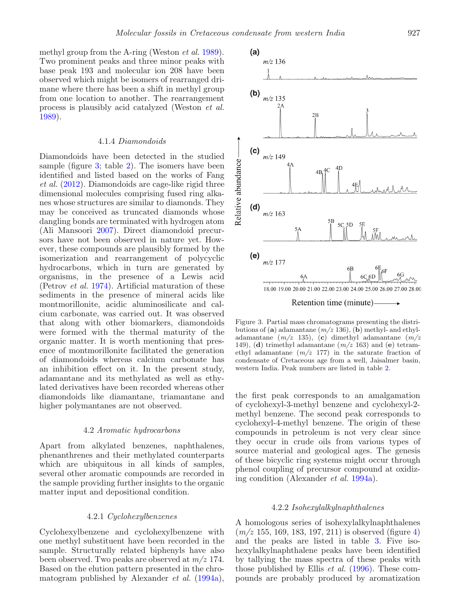methyl group from the A-ring (Weston *et al.* [1989\)](#page-11-3). Two prominent peaks and three minor peaks with base peak 193 and molecular ion 208 have been observed which might be isomers of rearranged drimane where there has been a shift in methyl group from one location to another. The rearrangement process is plausibly acid catalyzed (Weston *et al.* [1989\)](#page-11-3).

#### 4.1.4 *Diamondoids*

Diamondoids have been detected in the studied sample (figure [3;](#page-4-0) table [2\)](#page-5-0). The isomers have been identified and listed based on the works of Fang *et al.* [\(2012\)](#page-10-22). Diamondoids are cage-like rigid three dimensional molecules comprising fused ring alkanes whose structures are similar to diamonds. They may be conceived as truncated diamonds whose dangling bonds are terminated with hydrogen atom (Ali Mansoori [2007\)](#page-10-23). Direct diamondoid precursors have not been observed in nature yet. However, these compounds are plausibly formed by the isomerization and rearrangement of polycyclic hydrocarbons, which in turn are generated by organisms, in the presence of a Lewis acid (Petrov *et al.* [1974\)](#page-10-24). Artificial maturation of these sediments in the presence of mineral acids like montmorillonite, acidic aluminosilicate and calcium carbonate, was carried out. It was observed that along with other biomarkers, diamondoids were formed with the thermal maturity of the organic matter. It is worth mentioning that presence of montmorillonite facilitated the generation of diamondoids whereas calcium carbonate has an inhibition effect on it. In the present study, adamantane and its methylated as well as ethylated derivatives have been recorded whereas other diamondoids like diamantane, triamantane and higher polymantanes are not observed.

## 4.2 *Aromatic hydrocarbons*

Apart from alkylated benzenes, naphthalenes, phenanthrenes and their methylated counterparts which are ubiquitous in all kinds of samples, several other aromatic compounds are recorded in the sample providing further insights to the organic matter input and depositional condition.

## 4.2.1 *Cyclohexylbenzenes*

Cyclohexylbenzene and cyclohexylbenzene with one methyl substituent have been recorded in the sample. Structurally related biphenyls have also been observed. Two peaks are observed at *m/z* 174. Based on the elution pattern presented in the chromatogram published by Alexander *et al.* [\(1994a\)](#page-10-25),

<span id="page-4-0"></span>

Figure 3. Partial mass chromatograms presenting the distributions of (**a**) adamantane (*m/z* 136), (**b**) methyl- and ethyladamantane (*m/z* 135), (**c**) dimethyl adamantane (*m/z* 149), (**d**) trimethyl adamantane (*m/z* 163) and (**e**) tetramethyl adamantane (*m/z* 177) in the saturate fraction of condensate of Cretaceous age from a well, Jaisalmer basin, western India. Peak numbers are listed in table [2.](#page-5-0)

the first peak corresponds to an amalgamation of cyclohexyl-3-methyl benzene and cyclohexyl-2 methyl benzene. The second peak corresponds to cyclohexyl-4-methyl benzene. The origin of these compounds in petroleum is not very clear since they occur in crude oils from various types of source material and geological ages. The genesis of these bicyclic ring systems might occur through phenol coupling of precursor compound at oxidizing condition (Alexander *et al.* [1994a\)](#page-10-25).

#### 4.2.2 *Isohexylalkylnaphthalenes*

A homologous series of isohexylalkylnaphthalenes (*m/z* 155, 169, 183, 197, 211) is observed (figure [4\)](#page-5-1) and the peaks are listed in table [3.](#page-6-0) Five isohexylalkylnaphthalene peaks have been identified by tallying the mass spectra of these peaks with those published by Ellis *et al.* [\(1996\)](#page-10-26). These compounds are probably produced by aromatization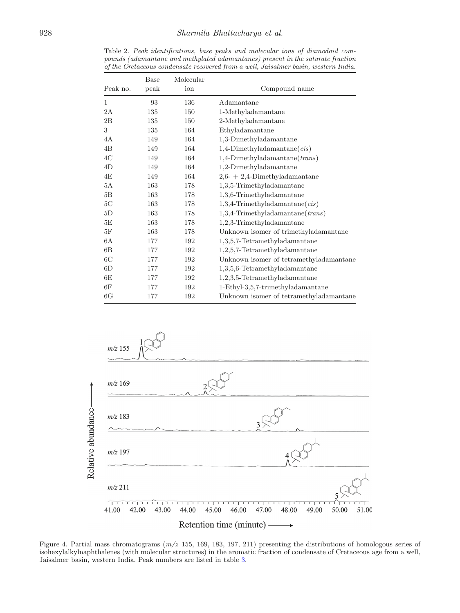<span id="page-5-0"></span>Table 2. *Peak identifications, base peaks and molecular ions of diamodoid compounds (adamantane and methylated adamantanes) present in the saturate fraction of the Cretaceous condensate recovered from a well, Jaisalmer basin, western India.*

| Peak no.       | <b>Base</b><br>peak | Molecular<br>ion | Compound name                           |
|----------------|---------------------|------------------|-----------------------------------------|
| $\mathbf{1}$   | 93                  | 136              | Adamantane                              |
| 2A             | 135                 | 150              | 1-Methyladamantane                      |
| 2B             | 135                 | 150              | 2-Methyladamantane                      |
| 3              | 135                 | 164              | Ethyladamantane                         |
| 4A             | 149                 | 164              | 1,3-Dimethyladamantane                  |
| 4B             | 149                 | 164              | 1,4-Dimethyladamantane $(cis)$          |
| 4C             | 149                 | 164              | $1,4$ -Dimethyladamantane( $trans$ )    |
| 4D             | 149                 | 164              | 1,2-Dimethyladamantane                  |
| 4E             | 149                 | 164              | $2,6$ - + 2,4-Dimethyladamantane        |
| 5A             | 163                 | 178              | $1,3,5$ -Trimethyladamantane            |
| 5B             | 163                 | 178              | $1,3,6$ -Trimethyladamantane            |
| 5 <sub>C</sub> | 163                 | 178              | $1,3,4$ -Trimethyladamantane $(cis)$    |
| 5D             | 163                 | 178              | $1,3,4$ -Trimethyladamantane( $trans$ ) |
| 5E             | 163                 | 178              | $1,2,3$ -Trimethyladamantane            |
| 5F             | 163                 | 178              | Unknown isomer of trimethyladamantane   |
| 6A             | 177                 | 192              | $1,3,5,7$ -Tetramethyladamantane        |
| 6B             | 177                 | 192              | $1,2,5,7$ -Tetramethyladamantane        |
| 6C             | 177                 | 192              | Unknown isomer of tetramethyladamantane |
| 6D             | 177                 | 192              | $1,3,5,6$ -Tetramethyladamantane        |
| 6E             | 177                 | 192              | $1,2,3,5$ -Tetramethyladamantane        |
| 6F             | 177                 | 192              | 1-Ethyl-3,5,7-trimethyladamantane       |
| 6G             | 177                 | 192              | Unknown isomer of tetramethyladamantane |

<span id="page-5-1"></span>

Figure 4. Partial mass chromatograms ( $m/z$  155, 169, 183, 197, 211) presenting the distributions of homologous series of isohexylalkylnaphthalenes (with molecular structures) in the aromatic fraction of condensate of Cretaceous age from a well, Jaisalmer basin, western India. Peak numbers are listed in table [3.](#page-6-0)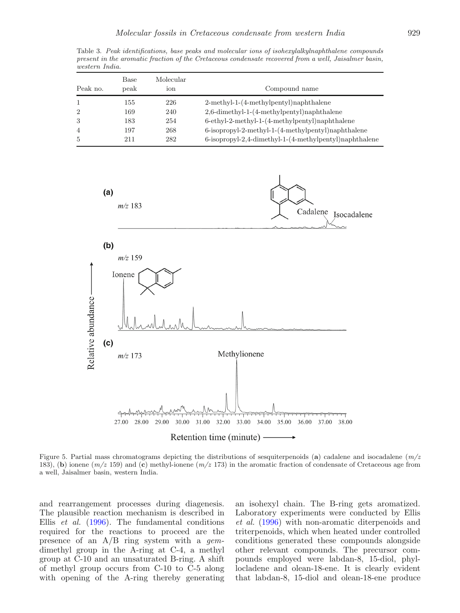<span id="page-6-0"></span>Table 3. *Peak identifications, base peaks and molecular ions of isohexylalkylnaphthalene compounds present in the aromatic fraction of the Cretaceous condensate recovered from a well, Jaisalmer basin, western India.*

| Peak no.       | Base<br>peak | Molecular<br>ion | Compound name                                                 |
|----------------|--------------|------------------|---------------------------------------------------------------|
|                | 155          | 226              | $2$ -methyl-1- $(4$ -methylpentyl)naphthalene                 |
| $\overline{2}$ | 169          | 240              | $2,6$ -dimethyl-1- $(4$ -methylpentyl)naphthalene             |
| 3              | 183          | 254              | $6$ -ethyl-2-methyl-1- $(4$ -methylpentyl)naphthalene         |
| $\overline{4}$ | 197          | 268              | 6-isopropyl-2-methyl-1-(4-methylpentyl)naphthalene            |
| 5              | 211          | 282              | $6$ -isopropyl-2,4-dimethyl-1- $(4$ -methylpentyl)naphthalene |

<span id="page-6-1"></span>

Figure 5. Partial mass chromatograms depicting the distributions of sesquiterpenoids (**a**) cadalene and isocadalene (*m/z* 183), (**b**) ionene (*m/z* 159) and (**c**) methyl-ionene (*m/z* 173) in the aromatic fraction of condensate of Cretaceous age from a well, Jaisalmer basin, western India.

and rearrangement processes during diagenesis. The plausible reaction mechanism is described in Ellis *et al.* [\(1996\)](#page-10-26). The fundamental conditions required for the reactions to proceed are the presence of an A/B ring system with a *gem*dimethyl group in the A-ring at C-4, a methyl group at C-10 and an unsaturated B-ring. A shift of methyl group occurs from C-10 to C-5 along with opening of the A-ring thereby generating

an isohexyl chain. The B-ring gets aromatized. Laboratory experiments were conducted by Ellis *et al.* [\(1996\)](#page-10-26) with non-aromatic diterpenoids and triterpenoids, which when heated under controlled conditions generated these compounds alongside other relevant compounds. The precursor compounds employed were labdan-8, 15-diol, phyllocladene and olean-18-ene. It is clearly evident that labdan-8, 15-diol and olean-18-ene produce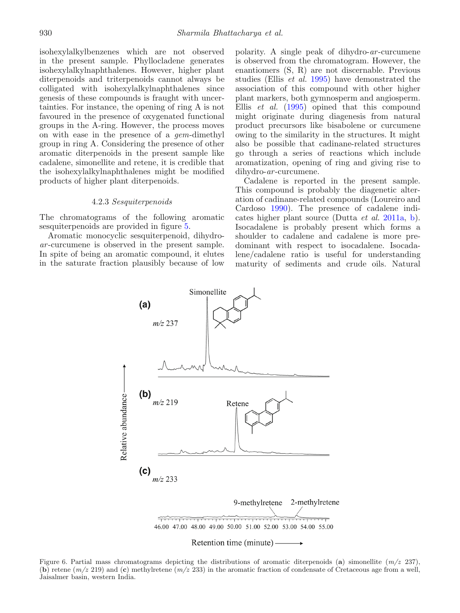isohexylalkylbenzenes which are not observed in the present sample. Phyllocladene generates isohexylalkylnaphthalenes. However, higher plant diterpenoids and triterpenoids cannot always be colligated with isohexylalkylnaphthalenes since genesis of these compounds is fraught with uncertainties. For instance, the opening of ring A is not favoured in the presence of oxygenated functional groups in the A-ring. However, the process moves on with ease in the presence of a *gem*-dimethyl group in ring A. Considering the presence of other aromatic diterpenoids in the present sample like cadalene, simonellite and retene, it is credible that the isohexylalkylnaphthalenes might be modified products of higher plant diterpenoids.

#### 4.2.3 *Sesquiterpenoids*

The chromatograms of the following aromatic sesquiterpenoids are provided in figure [5.](#page-6-1)

<span id="page-7-0"></span>Aromatic monocyclic sesquiterpenoid, dihydro*ar* -curcumene is observed in the present sample. In spite of being an aromatic compound, it elutes in the saturate fraction plausibly because of low

polarity. A single peak of dihydro-*ar* -curcumene is observed from the chromatogram. However, the enantiomers (S, R) are not discernable. Previous studies (Ellis *et al.* [1995\)](#page-10-27) have demonstrated the association of this compound with other higher plant markers, both gymnosperm and angiosperm. Ellis *et al.* [\(1995\)](#page-10-27) opined that this compound might originate during diagenesis from natural product precursors like bisabolene or curcumene owing to the similarity in the structures. It might also be possible that cadinane-related structures go through a series of reactions which include aromatization, opening of ring and giving rise to dihydro-*ar* -curcumene.

Cadalene is reported in the present sample. This compound is probably the diagenetic alteration of cadinane-related compounds (Loureiro and Cardoso [1990\)](#page-10-28). The presence of cadalene indicates higher plant source (Dutta *et al.* [2011a,](#page-10-29) [b\)](#page-10-30). Isocadalene is probably present which forms a shoulder to cadalene and cadalene is more predominant with respect to isocadalene. Isocadalene/cadalene ratio is useful for understanding maturity of sediments and crude oils. Natural



Figure 6. Partial mass chromatograms depicting the distributions of aromatic diterpenoids (**a**) simonellite (*m/z* 237), (**b**) retene (*m/z* 219) and (**c**) methylretene (*m/z* 233) in the aromatic fraction of condensate of Cretaceous age from a well, Jaisalmer basin, western India.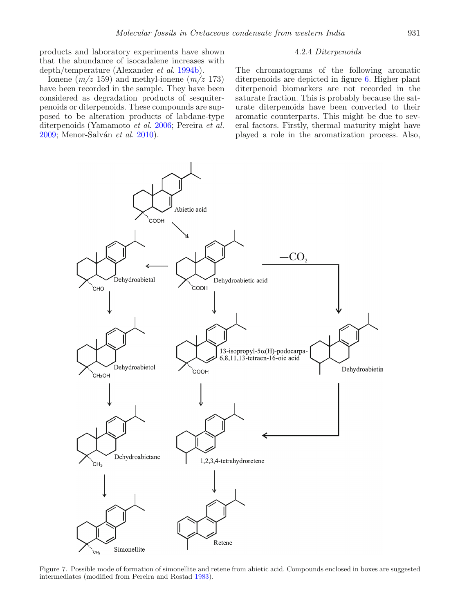products and laboratory experiments have shown that the abundance of isocadalene increases with depth/temperature (Alexander *et al*. [1994b\)](#page-10-31).

Ionene (*m/z* 159) and methyl-ionene (*m/z* 173) have been recorded in the sample. They have been considered as degradation products of sesquiterpenoids or diterpenoids. These compounds are supposed to be alteration products of labdane-type diterpenoids (Yamamoto *et al.* [2006;](#page-11-4) Pereira *et al.* [2009;](#page-10-32) Menor-Salv´an *et al.* [2010\)](#page-10-33).

## 4.2.4 *Diterpenoids*

The chromatograms of the following aromatic diterpenoids are depicted in figure [6.](#page-7-0) Higher plant diterpenoid biomarkers are not recorded in the saturate fraction. This is probably because the saturate diterpenoids have been converted to their aromatic counterparts. This might be due to several factors. Firstly, thermal maturity might have played a role in the aromatization process. Also,

<span id="page-8-0"></span>

Figure 7. Possible mode of formation of simonellite and retene from abietic acid. Compounds enclosed in boxes are suggested intermediates (modified from Pereira and Rostad [1983\)](#page-10-34).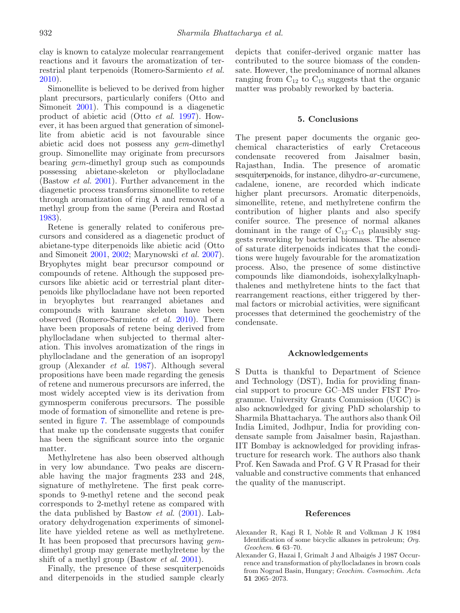clay is known to catalyze molecular rearrangement reactions and it favours the aromatization of terrestrial plant terpenoids (Romero-Sarmiento *et al.* [2010\)](#page-10-35).

Simonellite is believed to be derived from higher plant precursors, particularly conifers (Otto and Simoneit [2001\)](#page-10-36). This compound is a diagenetic product of abietic acid (Otto *et al.* [1997\)](#page-10-37). However, it has been argued that generation of simonellite from abietic acid is not favourable since abietic acid does not possess any *gem*-dimethyl group. Simonellite may originate from precursors bearing *gem*-dimethyl group such as compounds possessing abietane-skeleton or phyllocladane (Bastow *et al.* [2001\)](#page-10-38). Further advancement in the diagenetic process transforms simonellite to retene through aromatization of ring A and removal of a methyl group from the same (Pereira and Rostad [1983\)](#page-10-34).

Retene is generally related to coniferous precursors and considered as a diagenetic product of abietane-type diterpenoids like abietic acid (Otto and Simoneit [2001,](#page-10-36) [2002;](#page-10-39) Marynowski *et al.* [2007\)](#page-10-40). Bryophytes might bear precursor compound or compounds of retene. Although the supposed precursors like abietic acid or terrestrial plant diterpenoids like phyllocladane have not been reported in bryophytes but rearranged abietanes and compounds with kaurane skeleton have been observed (Romero-Sarmiento *et al.* [2010\)](#page-10-35). There have been proposals of retene being derived from phyllocladane when subjected to thermal alteration. This involves aromatization of the rings in phyllocladane and the generation of an isopropyl group (Alexander *et al.* [1987\)](#page-9-1). Although several propositions have been made regarding the genesis of retene and numerous precursors are inferred, the most widely accepted view is its derivation from gymnosperm coniferous precursors. The possible mode of formation of simonellite and retene is presented in figure [7.](#page-8-0) The assemblage of compounds that make up the condensate suggests that conifer has been the significant source into the organic matter.

Methylretene has also been observed although in very low abundance. Two peaks are discernable having the major fragments 233 and 248, signature of methylretene. The first peak corresponds to 9-methyl retene and the second peak corresponds to 2-methyl retene as compared with the data published by Bastow *et al.* [\(2001\)](#page-10-38). Laboratory dehydrogenation experiments of simonellite have yielded retene as well as methylretene. It has been proposed that precursors having *gem*dimethyl group may generate methylretene by the shift of a methyl group (Bastow *et al.* [2001\)](#page-10-38).

Finally, the presence of these sesquiterpenoids and diterpenoids in the studied sample clearly

depicts that conifer-derived organic matter has contributed to the source biomass of the condensate. However, the predominance of normal alkanes ranging from  $C_{12}$  to  $C_{15}$  suggests that the organic matter was probably reworked by bacteria.

# **5. Conclusions**

The present paper documents the organic geochemical characteristics of early Cretaceous condensate recovered from Jaisalmer basin, Rajasthan, India. The presence of aromatic sesquiterpenoids, for instance, dihydro-*ar* -curcumene, cadalene, ionene, are recorded which indicate higher plant precursors. Aromatic diterpenoids, simonellite, retene, and methylretene confirm the contribution of higher plants and also specify conifer source. The presence of normal alkanes dominant in the range of  $C_{12}-C_{15}$  plausibly suggests reworking by bacterial biomass. The absence of saturate diterpenoids indicates that the conditions were hugely favourable for the aromatization process. Also, the presence of some distinctive compounds like diamondoids, isohexylalkylnaphthalenes and methylretene hints to the fact that rearrangement reactions, either triggered by thermal factors or microbial activities, were significant processes that determined the geochemistry of the condensate.

#### **Acknowledgements**

S Dutta is thankful to Department of Science and Technology (DST), India for providing financial support to procure GC–MS under FIST Programme. University Grants Commission (UGC) is also acknowledged for giving PhD scholarship to Sharmila Bhattacharya. The authors also thank Oil India Limited, Jodhpur, India for providing condensate sample from Jaisalmer basin, Rajasthan. IIT Bombay is acknowledged for providing infrastructure for research work. The authors also thank Prof. Ken Sawada and Prof. G V R Prasad for their valuable and constructive comments that enhanced the quality of the manuscript.

## **References**

- <span id="page-9-0"></span>Alexander R, Kagi R I, Noble R and Volkman J K 1984 Identification of some bicyclic alkanes in petroleum; *Org. Geochem.* **6** 63–70.
- <span id="page-9-1"></span>Alexander G, Hazai I, Grimalt J and Albaigés J 1987 Occurrence and transformation of phyllocladanes in brown coals from Nograd Basin, Hungary; *Geochim. Cosmochim. Acta* **51** 2065–2073.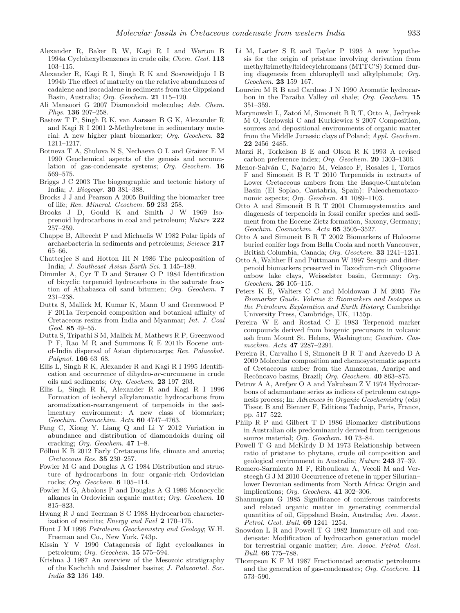- <span id="page-10-25"></span>Alexander R, Baker R W, Kagi R I and Warton B 1994a Cyclohexylbenzenes in crude oils; *Chem. Geol.* **113** 103–115.
- <span id="page-10-31"></span>Alexander R, Kagi R I, Singh R K and Sosrowidjojo I B 1994b The effect of maturity on the relative abundances of cadalene and isocadalene in sediments from the Gippsland Basin, Australia; *Org. Geochem.* **21** 115–120.
- <span id="page-10-23"></span>Ali Mansoori G 2007 Diamondoid molecules; *Adv. Chem. Phys.* **136** 207–258.
- <span id="page-10-38"></span>Bastow T P, Singh R K, van Aarssen B G K, Alexander R and Kagi R I 2001 2-Methylretene in sedimentary material: A new higher plant biomarker; *Org. Geochem.* **32** 1211–1217.
- <span id="page-10-3"></span>Botneva T A, Shulova N S, Nechaeva O L and Graizer E M 1990 Geochemical aspects of the genesis and accumulation of gas-condensate systems; *Org. Geochem.* **16** 569–575.
- <span id="page-10-5"></span>Briggs J C 2003 The biogeographic and tectonic history of India; *J. Biogeogr.* **30** 381–388.
- <span id="page-10-10"></span>Brocks J J and Pearson A 2005 Building the biomarker tree of life; *Rev. Mineral. Geochem.* **59** 233–258.
- <span id="page-10-13"></span>Brooks J D, Gould K and Smith J W 1969 Isoprenoid hydrocarbons in coal and petroleum; *Nature* **222** 257–259.
- <span id="page-10-15"></span>Chappe B, Albrecht P and Michaelis W 1982 Polar lipids of archaebacteria in sediments and petroleums; *Science* **217** 65–66.
- <span id="page-10-6"></span>Chatterjee S and Hotton III N 1986 The paleoposition of India; *J. Southeast Asian Earth Sci.* **1** 145–189.
- <span id="page-10-21"></span>Dimmler A, Cyr T D and Strausz O P 1984 Identification of bicyclic terpenoid hydrocarbons in the saturate fraction of Athabasca oil sand bitumen; *Org. Geochem.* **7** 231–238.
- <span id="page-10-29"></span>Dutta S, Mallick M, Kumar K, Mann U and Greenwood P F 2011a Terpenoid composition and botanical affinity of Cretaceous resins from India and Myanmar; *Int. J. Coal Geol.* **85** 49–55.
- <span id="page-10-30"></span>Dutta S, Tripathi S M, Mallick M, Mathews R P, Greenwood P F, Rao M R and Summons R E 2011b Eocene outof-India dispersal of Asian dipterocarps; *Rev. Palaeobot. Palynol.* **166** 63–68.
- <span id="page-10-27"></span>Ellis L, Singh R K, Alexander R and Kagi R I 1995 Identification and occurrence of dihydro-*ar*-curcumene in crude oils and sediments; *Org. Geochem.* **23** 197–203.
- <span id="page-10-26"></span>Ellis L, Singh R K, Alexander R and Kagi R I 1996 Formation of isohexyl alkylaromatic hydrocarbons from aromatization-rearrangement of terpenoids in the sedimentary environment: A new class of biomarker; *Geochim. Cosmochim. Acta* **60** 4747–4763.
- <span id="page-10-22"></span>Fang C, Xiong Y, Liang Q and Li Y 2012 Variation in abundance and distribution of diamondoids during oil cracking; *Org. Geochem.* **47** 1–8.
- <span id="page-10-7"></span>Föllmi K B 2012 Early Cretaceous life, climate and anoxia; *Cretaceous Res.* **35** 230–257.
- <span id="page-10-18"></span>Fowler M G and Douglas A G 1984 Distribution and structure of hydrocarbons in four organic-rich Ordovician rocks; *Org. Geochem.* **6** 105–114.
- <span id="page-10-19"></span>Fowler M G, Abolons P and Douglas A G 1986 Monocyclic alkanes in Ordovician organic matter; *Org. Geochem.* **10** 815–823.
- <span id="page-10-2"></span>Hwang R J and Teerman S C 1988 Hydrocarbon characterization of resinite; *Energy and Fuel* **2** 170–175.
- <span id="page-10-0"></span>Hunt J M 1996 *Petroleum Geochemistry and Geology*; W.H. Freeman and Co., New York, 743p.
- <span id="page-10-20"></span>Kissin Y V 1990 Catagenesis of light cycloalkanes in petroleum; *Org. Geochem.* **15** 575–594.
- <span id="page-10-11"></span>Krishna J 1987 An overview of the Mesozoic stratigraphy of the Kachchh and Jaisalmer basins; *J. Palaeontol. Soc. India* **32** 136–149.
- <span id="page-10-16"></span>Li M, Larter S R and Taylor P 1995 A new hypothesis for the origin of pristane involving derivation from methyltrimethyltridecylchromans (MTTC'S) formed during diagenesis from chlorophyll and alkylphenols; *Org. Geochem.* **23** 159–167.
- <span id="page-10-28"></span>Loureiro M R B and Cardoso J N 1990 Aromatic hydrocarbon in the Paraiba Valley oil shale; *Org. Geochem.* **15** 351–359.
- <span id="page-10-40"></span>Marynowski L, Zatoń M, Simoneit B R T, Otto A, Jedrysek M O, Grelowski C and Kurkiewicz S 2007 Composition, sources and depositional environments of organic matter from the Middle Jurassic clays of Poland; *Appl. Geochem.* **22** 2456–2485.
- <span id="page-10-12"></span>Marzi R, Torkelson B E and Olson R K 1993 A revised carbon preference index; *Org. Geochem.* **20** 1303–1306.
- <span id="page-10-33"></span>Menor-Salván C, Najarro M, Velasco F, Rosales I, Tornos F and Simoneit B R T 2010 Terpenoids in extracts of Lower Cretaceous ambers from the Basque-Cantabrian Basin (El Soplao, Cantabria, Spain): Paleochemotaxonomic aspects; *Org. Geochem.* **41** 1089–1103.
- <span id="page-10-36"></span>Otto A and Simoneit B R T 2001 Chemosystematics and diagenesis of terpenoids in fossil conifer species and sediment from the Eocene Zietz formation, Saxony, Germany; *Geochim. Cosmochim. Acta* **65** 3505–3527.
- <span id="page-10-39"></span>Otto A and Simoneit B R T 2002 Biomarkers of Holocene buried conifer logs from Bella Coola and north Vancouver, British Columbia, Canada; *Org. Geochem.* **33** 1241–1251.
- <span id="page-10-37"></span>Otto A, Walther H and Püttmann W 1997 Sesqui- and diterpenoid biomarkers preserved in Taxodium-rich Oligocene oxbow lake clays, Weisselster basin, Germany; *Org. Geochem.* **26** 105–115.
- <span id="page-10-17"></span>Peters K E, Walters C C and Moldowan J M 2005 *The Biomarker Guide. Volume 2: Biomarkers and Isotopes in the Petroleum Exploration and Earth History*; Cambridge University Press, Cambridge, UK, 1155p.
- <span id="page-10-34"></span>Pereira W E and Rostad C E 1983 Terpenoid marker compounds derived from biogenic precursors in volcanic ash from Mount St. Helens, Washington; *Geochim. Cosmochim. Acta* **47** 2287–2291.
- <span id="page-10-32"></span>Pereira R, Carvalho I S, Simoneit B R T and Azevedo D A 2009 Molecular composition and chemosystematic aspects of Cretaceous amber from the Amazonas, Araripe and Recˆoncavo basins, Brazil; *Org. Geochem.* **40** 863–875.
- <span id="page-10-24"></span>Petrov A A, Arefjev O A and Yakubson Z V 1974 Hydrocarbons of adamantane series as indices of petroleum catagenesis process; In: *Advances in Organic Geochemistry* (eds) Tissot B and Bienner F, Editions Technip, Paris, France, pp. 517–522.
- <span id="page-10-9"></span>Philp R P and Gilbert T D 1986 Biomarker distributions in Australian oils predominantly derived from terrigenous source material; *Org. Geochem.* **10** 73–84.
- <span id="page-10-14"></span>Powell T G and McKirdy D M 1973 Relationship between ratio of pristane to phytane, crude oil composition and geological environment in Australia; *Nature* **243** 37–39.
- <span id="page-10-35"></span>Romero-Sarmiento M F, Riboulleau A, Vecoli M and Versteegh G J M 2010 Occurrence of retene in upper Silurian– lower Devonian sediments from North Africa: Origin and implications; *Org. Geochem.* **41** 302–306.
- <span id="page-10-8"></span>Shanmugam G 1985 Significance of coniferous rainforests and related organic matter in generating commercial quantities of oil, Gippsland Basin, Australia; *Am. Assoc. Petrol. Geol. Bull.* **69** 1241–1254.
- <span id="page-10-1"></span>Snowdon L R and Powell T G 1982 Immature oil and condensate: Modification of hydrocarbon generation model for terrestrial organic matter; *Am. Assoc. Petrol. Geol. Bull.* **66** 775–788.
- <span id="page-10-4"></span>Thompson K F M 1987 Fractionated aromatic petroleums and the generation of gas-condensates; *Org. Geochem.* **11** 573–590.